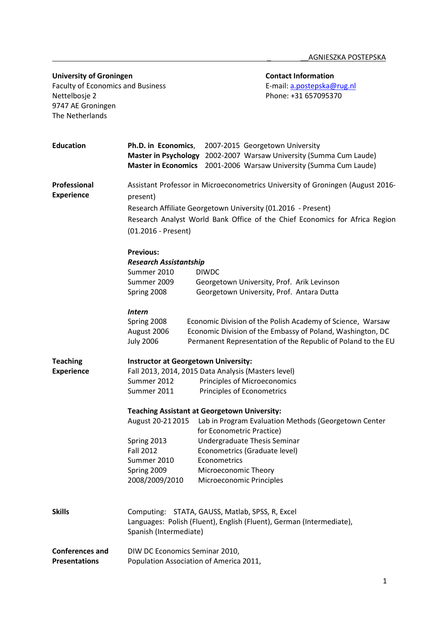| <b>University of Groningen</b><br><b>Faculty of Economics and Business</b> |                                                                                                                                                                                                | <b>Contact Information</b><br>E-mail: a.postepska@rug.nl                                                                                                       |                                                                                                                                                                                          |  |
|----------------------------------------------------------------------------|------------------------------------------------------------------------------------------------------------------------------------------------------------------------------------------------|----------------------------------------------------------------------------------------------------------------------------------------------------------------|------------------------------------------------------------------------------------------------------------------------------------------------------------------------------------------|--|
| Nettelbosje 2<br>9747 AE Groningen<br>The Netherlands                      |                                                                                                                                                                                                |                                                                                                                                                                | Phone: +31 657095370                                                                                                                                                                     |  |
| <b>Education</b>                                                           | Ph.D. in Economics,<br><b>Master in Psychology</b><br><b>Master in Economics</b>                                                                                                               | 2007-2015 Georgetown University                                                                                                                                | 2002-2007 Warsaw University (Summa Cum Laude)<br>2001-2006 Warsaw University (Summa Cum Laude)                                                                                           |  |
| Professional<br><b>Experience</b>                                          | present)<br>Research Affiliate Georgetown University (01.2016 - Present)<br>(01.2016 - Present)                                                                                                | Assistant Professor in Microeconometrics University of Groningen (August 2016-<br>Research Analyst World Bank Office of the Chief Economics for Africa Region  |                                                                                                                                                                                          |  |
|                                                                            | <b>Previous:</b><br><b>Research Assistantship</b><br>Summer 2010<br>Summer 2009<br>Spring 2008                                                                                                 | <b>DIWDC</b>                                                                                                                                                   | Georgetown University, Prof. Arik Levinson<br>Georgetown University, Prof. Antara Dutta                                                                                                  |  |
|                                                                            | <b>Intern</b><br>Spring 2008<br>August 2006<br><b>July 2006</b>                                                                                                                                |                                                                                                                                                                | Economic Division of the Polish Academy of Science, Warsaw<br>Economic Division of the Embassy of Poland, Washington, DC<br>Permanent Representation of the Republic of Poland to the EU |  |
| <b>Teaching</b><br><b>Experience</b>                                       | <b>Instructor at Georgetown University:</b><br>Fall 2013, 2014, 2015 Data Analysis (Masters level)<br>Summer 2012<br>Principles of Microeconomics<br>Principles of Econometrics<br>Summer 2011 |                                                                                                                                                                |                                                                                                                                                                                          |  |
|                                                                            | <b>Teaching Assistant at Georgetown University:</b><br>August 20-21 2015<br>Spring 2013<br><b>Fall 2012</b><br>Summer 2010<br>Spring 2009<br>2008/2009/2010                                    | for Econometric Practice)<br>Undergraduate Thesis Seminar<br>Econometrics (Graduate level)<br>Econometrics<br>Microeconomic Theory<br>Microeconomic Principles | Lab in Program Evaluation Methods (Georgetown Center                                                                                                                                     |  |
| <b>Skills</b>                                                              | Computing: STATA, GAUSS, Matlab, SPSS, R, Excel<br>Spanish (Intermediate)                                                                                                                      |                                                                                                                                                                | Languages: Polish (Fluent), English (Fluent), German (Intermediate),                                                                                                                     |  |
| <b>Conferences and</b><br><b>Presentations</b>                             | DIW DC Economics Seminar 2010,<br>Population Association of America 2011,                                                                                                                      |                                                                                                                                                                |                                                                                                                                                                                          |  |